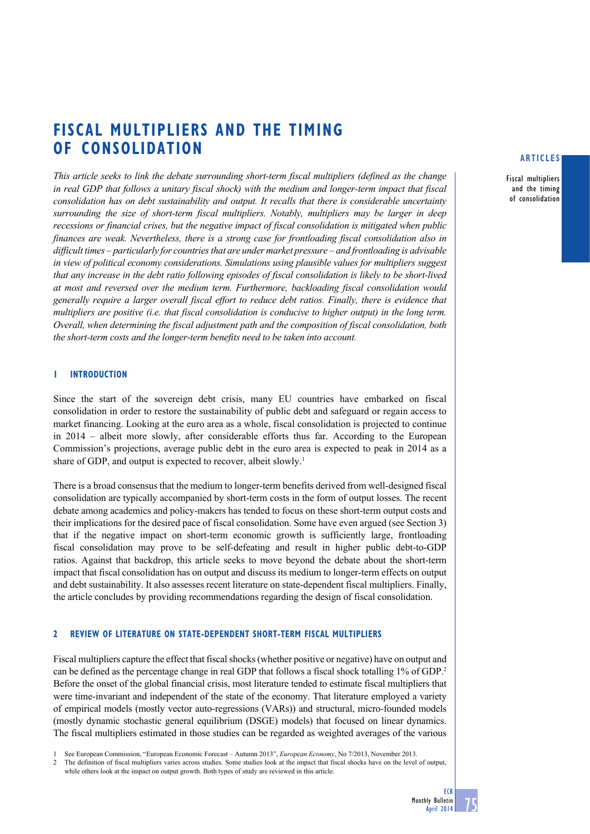# **fiscal multipliers AND THE timing of consolidation**

*This article seeks to link the debate surrounding short-term fiscal multipliers (defined as the change in real GDP that follows a unitary fiscal shock) with the medium and longer-term impact that fiscal consolidation has on debt sustainability and output. It recalls that there is considerable uncertainty surrounding the size of short-term fiscal multipliers. Notably, multipliers may be larger in deep recessions or financial crises, but the negative impact of fiscal consolidation is mitigated when public finances are weak. Nevertheless, there is a strong case for frontloading fiscal consolidation also in difficult times – particularly for countries that are under market pressure – and frontloading is advisable in view of political economy considerations. Simulations using plausible values for multipliers suggest that any increase in the debt ratio following episodes of fiscal consolidation is likely to be short-lived at most and reversed over the medium term. Furthermore, backloading fiscal consolidation would generally require a larger overall fiscal effort to reduce debt ratios. Finally, there is evidence that multipliers are positive (i.e. that fiscal consolidation is conducive to higher output) in the long term. Overall, when determining the fiscal adjustment path and the composition of fiscal consolidation, both the short-term costs and the longer-term benefits need to be taken into account.* 

# **1 introduction**

Since the start of the sovereign debt crisis, many EU countries have embarked on fiscal consolidation in order to restore the sustainability of public debt and safeguard or regain access to market financing. Looking at the euro area as a whole, fiscal consolidation is projected to continue in 2014 – albeit more slowly, after considerable efforts thus far. According to the European Commission's projections, average public debt in the euro area is expected to peak in 2014 as a share of GDP, and output is expected to recover, albeit slowly.<sup>1</sup>

There is a broad consensus that the medium to longer-term benefits derived from well-designed fiscal consolidation are typically accompanied by short-term costs in the form of output losses. The recent debate among academics and policy-makers has tended to focus on these short-term output costs and their implications for the desired pace of fiscal consolidation. Some have even argued (see Section 3) that if the negative impact on short-term economic growth is sufficiently large, frontloading fiscal consolidation may prove to be self-defeating and result in higher public debt-to-GDP ratios. Against that backdrop, this article seeks to move beyond the debate about the short-term impact that fiscal consolidation has on output and discuss its medium to longer-term effects on output and debt sustainability. It also assesses recent literature on state-dependent fiscal multipliers. Finally, the article concludes by providing recommendations regarding the design of fiscal consolidation.

# **2 review of literature on state-dependent short-term fiscal multipliers**

Fiscal multipliers capture the effect that fiscal shocks (whether positive or negative) have on output and can be defined as the percentage change in real GDP that follows a fiscal shock totalling 1% of GDP.<sup>2</sup> Before the onset of the global financial crisis, most literature tended to estimate fiscal multipliers that were time-invariant and independent of the state of the economy. That literature employed a variety of empirical models (mostly vector auto-regressions (VARs)) and structural, micro-founded models (mostly dynamic stochastic general equilibrium (DSGE) models) that focused on linear dynamics. The fiscal multipliers estimated in those studies can be regarded as weighted averages of the various

1 See European Commission, "European Economic Forecast – Autumn 2013", *European Economy*, No 7/2013, November 2013.

# **articles**

Fiscal multipliers and the timing of consolidation

<sup>2</sup> The definition of fiscal multipliers varies across studies. Some studies look at the impact that fiscal shocks have on the level of output, while others look at the impact on output growth. Both types of study are reviewed in this article.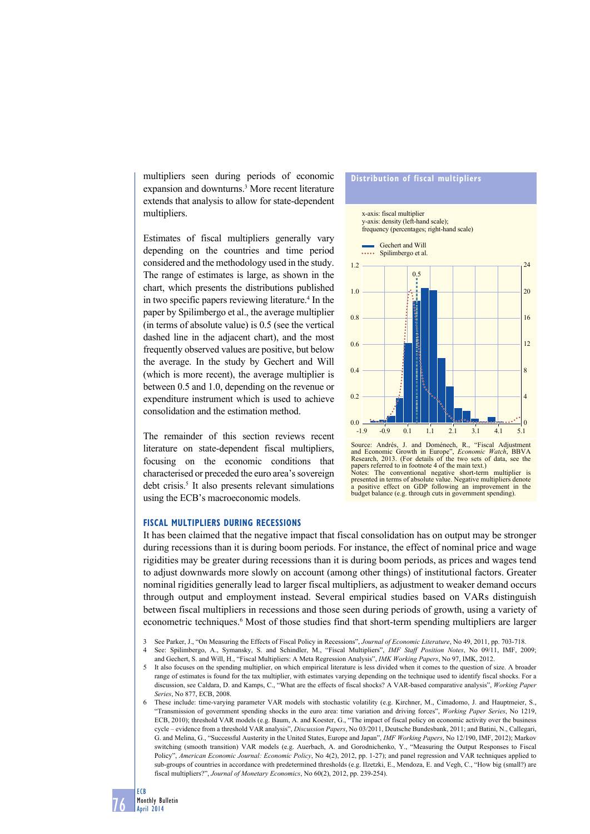multipliers seen during periods of economic expansion and downturns.<sup>3</sup> More recent literature extends that analysis to allow for state-dependent multipliers.

Estimates of fiscal multipliers generally vary depending on the countries and time period considered and the methodology used in the study. The range of estimates is large, as shown in the chart, which presents the distributions published in two specific papers reviewing literature.4 In the paper by Spilimbergo et al., the average multiplier (in terms of absolute value) is 0.5 (see the vertical dashed line in the adjacent chart), and the most frequently observed values are positive, but below the average. In the study by Gechert and Will (which is more recent), the average multiplier is between 0.5 and 1.0, depending on the revenue or expenditure instrument which is used to achieve consolidation and the estimation method.

The remainder of this section reviews recent literature on state-dependent fiscal multipliers, focusing on the economic conditions that characterised or preceded the euro area's sovereign debt crisis.<sup>5</sup> It also presents relevant simulations using the ECB's macroeconomic models.

### **Fiscal multipliers during recessions**

# **distribution of fiscal multipliers**



and Economic Growth in Europe", *Economic Watch*, BBVA Research, 2013. (For details of the two sets of data, see the papers referred to in footnote 4 of the main text.) Notes: The conventional negative short-term multiplier is presented in terms of absolute value. Negative multipliers denote a positive effect on GDP following an improvement in the budget balance (e.g. through cuts in government spending).

It has been claimed that the negative impact that fiscal consolidation has on output may be stronger during recessions than it is during boom periods. For instance, the effect of nominal price and wage rigidities may be greater during recessions than it is during boom periods, as prices and wages tend to adjust downwards more slowly on account (among other things) of institutional factors. Greater nominal rigidities generally lead to larger fiscal multipliers, as adjustment to weaker demand occurs through output and employment instead. Several empirical studies based on VARs distinguish between fiscal multipliers in recessions and those seen during periods of growth, using a variety of econometric techniques.<sup>6</sup> Most of those studies find that short-term spending multipliers are larger

- 3 See Parker, J., "On Measuring the Effects of Fiscal Policy in Recessions", *Journal of Economic Literature*, No 49, 2011, pp. 703-718. 4 See: Spilimbergo, A., Symansky, S. and Schindler, M., "Fiscal Multipliers", *IMF Staff Position Notes*, No 09/11, IMF, 2009;
- and Gechert, S. and Will, H., "Fiscal Multipliers: A Meta Regression Analysis", *IMK Working Papers*, No 97, IMK, 2012. 5 It also focuses on the spending multiplier, on which empirical literature is less divided when it comes to the question of size. A broader
- range of estimates is found for the tax multiplier, with estimates varying depending on the technique used to identify fiscal shocks. For a discussion, see Caldara, D. and Kamps, C., "What are the effects of fiscal shocks? A VAR-based comparative analysis", *Working Paper Series*, No 877, ECB, 2008.
- 6 These include: time-varying parameter VAR models with stochastic volatility (e.g. Kirchner, M., Cimadomo, J. and Hauptmeier, S., "Transmission of government spending shocks in the euro area: time variation and driving forces", *Working Paper Series*, No 1219, ECB, 2010); threshold VAR models (e.g. Baum, A. and Koester, G., "The impact of fiscal policy on economic activity over the business cycle – evidence from a threshold VAR analysis", *Discussion Papers*, No 03/2011, Deutsche Bundesbank, 2011; and Batini, N., Callegari, G. and Melina, G., "Successful Austerity in the United States, Europe and Japan", *IMF Working Papers*, No 12/190, IMF, 2012); Markov switching (smooth transition) VAR models (e.g. Auerbach, A. and Gorodnichenko, Y., "Measuring the Output Responses to Fiscal Policy", *American Economic Journal: Economic Policy*, No 4(2), 2012, pp. 1-27); and panel regression and VAR techniques applied to sub-groups of countries in accordance with predetermined thresholds (e.g. Ilzetzki, E., Mendoza, E. and Vegh, C., "How big (small?) are fiscal multipliers?", *Journal of Monetary Economics*, No 60(2), 2012, pp. 239-254).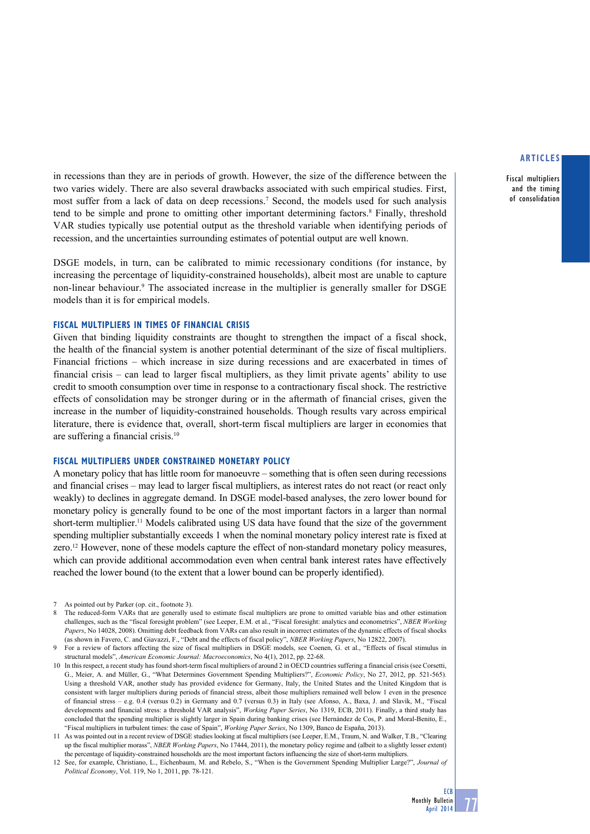Fiscal multipliers and the timing of consolidation

in recessions than they are in periods of growth. However, the size of the difference between the two varies widely. There are also several drawbacks associated with such empirical studies. First, most suffer from a lack of data on deep recessions.<sup>7</sup> Second, the models used for such analysis tend to be simple and prone to omitting other important determining factors.<sup>8</sup> Finally, threshold VAR studies typically use potential output as the threshold variable when identifying periods of recession, and the uncertainties surrounding estimates of potential output are well known.

DSGE models, in turn, can be calibrated to mimic recessionary conditions (for instance, by increasing the percentage of liquidity-constrained households), albeit most are unable to capture non-linear behaviour.<sup>9</sup> The associated increase in the multiplier is generally smaller for DSGE models than it is for empirical models.

#### **Fiscal multipliers in times of financial crisis**

Given that binding liquidity constraints are thought to strengthen the impact of a fiscal shock, the health of the financial system is another potential determinant of the size of fiscal multipliers. Financial frictions – which increase in size during recessions and are exacerbated in times of financial crisis – can lead to larger fiscal multipliers, as they limit private agents' ability to use credit to smooth consumption over time in response to a contractionary fiscal shock. The restrictive effects of consolidation may be stronger during or in the aftermath of financial crises, given the increase in the number of liquidity-constrained households. Though results vary across empirical literature, there is evidence that, overall, short-term fiscal multipliers are larger in economies that are suffering a financial crisis.10

# **Fiscal multipliers under constrained monetary policy**

A monetary policy that has little room for manoeuvre – something that is often seen during recessions and financial crises – may lead to larger fiscal multipliers, as interest rates do not react (or react only weakly) to declines in aggregate demand. In DSGE model-based analyses, the zero lower bound for monetary policy is generally found to be one of the most important factors in a larger than normal short-term multiplier.<sup>11</sup> Models calibrated using US data have found that the size of the government spending multiplier substantially exceeds 1 when the nominal monetary policy interest rate is fixed at zero.12 However, none of these models capture the effect of non-standard monetary policy measures, which can provide additional accommodation even when central bank interest rates have effectively reached the lower bound (to the extent that a lower bound can be properly identified).

<sup>7</sup> As pointed out by Parker (op. cit., footnote 3).<br>8 The reduced-form VARs that are generally in

<sup>8</sup> The reduced-form VARs that are generally used to estimate fiscal multipliers are prone to omitted variable bias and other estimation challenges, such as the "fiscal foresight problem" (see Leeper, E.M. et al., "Fiscal foresight: analytics and econometrics", *NBER Working Papers*, No 14028, 2008). Omitting debt feedback from VARs can also result in incorrect estimates of the dynamic effects of fiscal shocks (as shown in Favero, C. and Giavazzi, F., "Debt and the effects of fiscal policy", *NBER Working Papers*, No 12822, 2007).

<sup>9</sup> For a review of factors affecting the size of fiscal multipliers in DSGE models, see Coenen, G. et al., "Effects of fiscal stimulus in structural models", *American Economic Journal: Macroeconomics*, No 4(1), 2012, pp. 22-68.

<sup>10</sup> In this respect, a recent study has found short-term fiscal multipliers of around 2 in OECD countries suffering a financial crisis (see Corsetti, G., Meier, A. and Müller, G., "What Determines Government Spending Multipliers?", *Economic Policy*, No 27, 2012, pp. 521-565). Using a threshold VAR, another study has provided evidence for Germany, Italy, the United States and the United Kingdom that is consistent with larger multipliers during periods of financial stress, albeit those multipliers remained well below 1 even in the presence of financial stress – e.g. 0.4 (versus 0.2) in Germany and 0.7 (versus 0.3) in Italy (see Afonso, A., Baxa, J. and Slavík, M., "Fiscal developments and financial stress: a threshold VAR analysis", *Working Paper Series*, No 1319, ECB, 2011). Finally, a third study has concluded that the spending multiplier is slightly larger in Spain during banking crises (see Hernández de Cos, P. and Moral-Benito, E., "Fiscal multipliers in turbulent times: the case of Spain", *Working Paper Series*, No 1309, Banco de España, 2013).

<sup>11</sup> As was pointed out in a recent review of DSGE studies looking at fiscal multipliers (see Leeper, E.M., Traum, N. and Walker, T.B., "Clearing up the fiscal multiplier morass", *NBER Working Papers*, No 17444, 2011), the monetary policy regime and (albeit to a slightly lesser extent) the percentage of liquidity-constrained households are the most important factors influencing the size of short-term multipliers.

<sup>12</sup> See, for example, Christiano, L., Eichenbaum, M. and Rebelo, S., "When is the Government Spending Multiplier Large?", *Journal of Political Economy*, Vol. 119, No 1, 2011, pp. 78-121.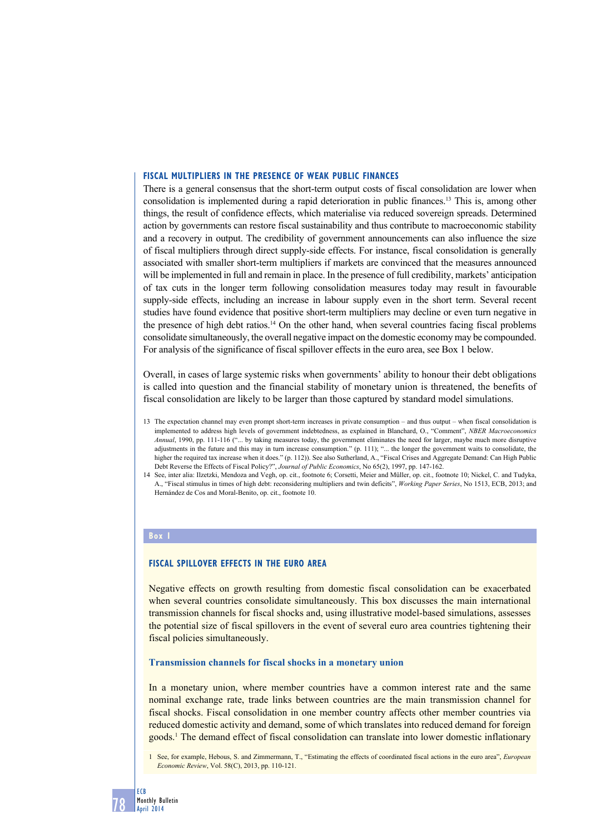#### **Fiscal multipliers in the presence of weak public finances**

There is a general consensus that the short-term output costs of fiscal consolidation are lower when consolidation is implemented during a rapid deterioration in public finances.13 This is, among other things, the result of confidence effects, which materialise via reduced sovereign spreads. Determined action by governments can restore fiscal sustainability and thus contribute to macroeconomic stability and a recovery in output. The credibility of government announcements can also influence the size of fiscal multipliers through direct supply-side effects. For instance, fiscal consolidation is generally associated with smaller short-term multipliers if markets are convinced that the measures announced will be implemented in full and remain in place. In the presence of full credibility, markets' anticipation of tax cuts in the longer term following consolidation measures today may result in favourable supply-side effects, including an increase in labour supply even in the short term. Several recent studies have found evidence that positive short-term multipliers may decline or even turn negative in the presence of high debt ratios.14 On the other hand, when several countries facing fiscal problems consolidate simultaneously, the overall negative impact on the domestic economy may be compounded. For analysis of the significance of fiscal spillover effects in the euro area, see Box 1 below.

Overall, in cases of large systemic risks when governments' ability to honour their debt obligations is called into question and the financial stability of monetary union is threatened, the benefits of fiscal consolidation are likely to be larger than those captured by standard model simulations.

- 13 The expectation channel may even prompt short-term increases in private consumption and thus output when fiscal consolidation is implemented to address high levels of government indebtedness, as explained in Blanchard, O., "Comment", *NBER Macroeconomics Annual*, 1990, pp. 111-116 ("... by taking measures today, the government eliminates the need for larger, maybe much more disruptive adjustments in the future and this may in turn increase consumption." (p. 111); "... the longer the government waits to consolidate, the higher the required tax increase when it does." (p. 112)). See also Sutherland, A., "Fiscal Crises and Aggregate Demand: Can High Public Debt Reverse the Effects of Fiscal Policy?", *Journal of Public Economics*, No 65(2), 1997, pp. 147-162.
- 14 See, inter alia: Ilzetzki, Mendoza and Vegh, op. cit., footnote 6; Corsetti, Meier and Müller, op. cit., footnote 10; Nickel, C. and Tudyka, A., "Fiscal stimulus in times of high debt: reconsidering multipliers and twin deficits", *Working Paper Series*, No 1513, ECB, 2013; and Hernández de Cos and Moral-Benito, op. cit., footnote 10.

### **Box 1**

#### **Fiscal spillover effects in the euro area**

Negative effects on growth resulting from domestic fiscal consolidation can be exacerbated when several countries consolidate simultaneously. This box discusses the main international transmission channels for fiscal shocks and, using illustrative model-based simulations, assesses the potential size of fiscal spillovers in the event of several euro area countries tightening their fiscal policies simultaneously.

#### **Transmission channels for fiscal shocks in a monetary union**

In a monetary union, where member countries have a common interest rate and the same nominal exchange rate, trade links between countries are the main transmission channel for fiscal shocks. Fiscal consolidation in one member country affects other member countries via reduced domestic activity and demand, some of which translates into reduced demand for foreign goods.<sup>1</sup> The demand effect of fiscal consolidation can translate into lower domestic inflationary

1 See, for example, Hebous, S. and Zimmermann, T., "Estimating the effects of coordinated fiscal actions in the euro area", *European Economic Review*, Vol. 58(C), 2013, pp. 110-121.

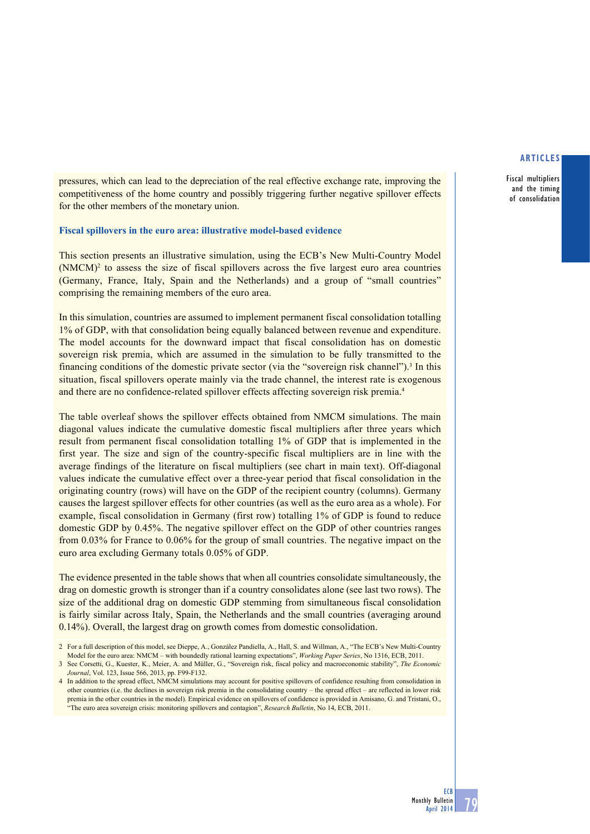Fiscal multipliers and the timing of consolidation

pressures, which can lead to the depreciation of the real effective exchange rate, improving the competitiveness of the home country and possibly triggering further negative spillover effects for the other members of the monetary union.

#### **Fiscal spillovers in the euro area: illustrative model-based evidence**

This section presents an illustrative simulation, using the ECB's New Multi-Country Model (NMCM)<sup>2</sup> to assess the size of fiscal spillovers across the five largest euro area countries (Germany, France, Italy, Spain and the Netherlands) and a group of "small countries" comprising the remaining members of the euro area.

In this simulation, countries are assumed to implement permanent fiscal consolidation totalling 1% of GDP, with that consolidation being equally balanced between revenue and expenditure. The model accounts for the downward impact that fiscal consolidation has on domestic sovereign risk premia, which are assumed in the simulation to be fully transmitted to the financing conditions of the domestic private sector (via the "sovereign risk channel").<sup>3</sup> In this situation, fiscal spillovers operate mainly via the trade channel, the interest rate is exogenous and there are no confidence-related spillover effects affecting sovereign risk premia.<sup>4</sup>

The table overleaf shows the spillover effects obtained from NMCM simulations. The main diagonal values indicate the cumulative domestic fiscal multipliers after three years which result from permanent fiscal consolidation totalling 1% of GDP that is implemented in the first year. The size and sign of the country-specific fiscal multipliers are in line with the average findings of the literature on fiscal multipliers (see chart in main text). Off-diagonal values indicate the cumulative effect over a three-year period that fiscal consolidation in the originating country (rows) will have on the GDP of the recipient country (columns). Germany causes the largest spillover effects for other countries (as well as the euro area as a whole). For example, fiscal consolidation in Germany (first row) totalling 1% of GDP is found to reduce domestic GDP by 0.45%. The negative spillover effect on the GDP of other countries ranges from 0.03% for France to 0.06% for the group of small countries. The negative impact on the euro area excluding Germany totals 0.05% of GDP.

The evidence presented in the table shows that when all countries consolidate simultaneously, the drag on domestic growth is stronger than if a country consolidates alone (see last two rows). The size of the additional drag on domestic GDP stemming from simultaneous fiscal consolidation is fairly similar across Italy, Spain, the Netherlands and the small countries (averaging around 0.14%). Overall, the largest drag on growth comes from domestic consolidation.

<sup>2</sup> For a full description of this model, see Dieppe, A., González Pandiella, A., Hall, S. and Willman, A., "The ECB's New Multi-Country Model for the euro area: NMCM – with boundedly rational learning expectations", *Working Paper Series*, No 1316, ECB, 2011.

<sup>3</sup> See Corsetti, G., Kuester, K., Meier, A. and Müller, G., "Sovereign risk, fiscal policy and macroeconomic stability", *The Economic Journal*, Vol. 123, Issue 566, 2013, pp. F99-F132.

<sup>4</sup> In addition to the spread effect, NMCM simulations may account for positive spillovers of confidence resulting from consolidation in other countries (i.e. the declines in sovereign risk premia in the consolidating country – the spread effect – are reflected in lower risk premia in the other countries in the model). Empirical evidence on spillovers of confidence is provided in Amisano, G. and Tristani, O., "The euro area sovereign crisis: monitoring spillovers and contagion", *Research Bulletin*, No 14, ECB, 2011.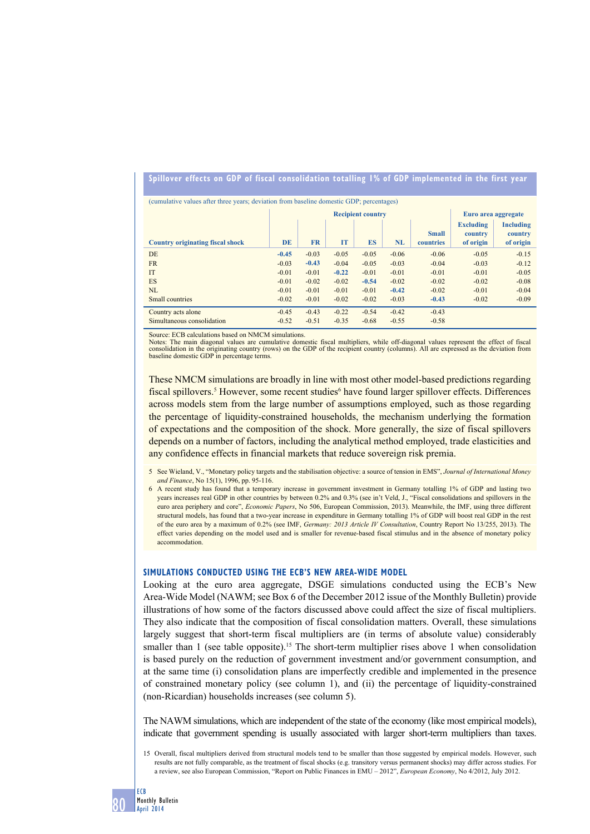# **Spillover effects on GDP of fiscal consolidation totalling 1% of GDP implemented in the first year**

(cumulative values after three years; deviation from baseline domestic GDP; percentages)

|                                         | <b>Recipient country</b> |           |         |           |         |              | Euro area aggregate |                  |
|-----------------------------------------|--------------------------|-----------|---------|-----------|---------|--------------|---------------------|------------------|
|                                         |                          |           |         |           |         |              | <b>Excluding</b>    | <b>Including</b> |
|                                         |                          |           |         |           |         | <b>Small</b> | country             | country          |
| <b>Country originating fiscal shock</b> | <b>DE</b>                | <b>FR</b> | IT      | <b>ES</b> | NL      | countries    | of origin           | of origin        |
| DE                                      | $-0.45$                  | $-0.03$   | $-0.05$ | $-0.05$   | $-0.06$ | $-0.06$      | $-0.05$             | $-0.15$          |
| <b>FR</b>                               | $-0.03$                  | $-0.43$   | $-0.04$ | $-0.05$   | $-0.03$ | $-0.04$      | $-0.03$             | $-0.12$          |
| IT                                      | $-0.01$                  | $-0.01$   | $-0.22$ | $-0.01$   | $-0.01$ | $-0.01$      | $-0.01$             | $-0.05$          |
| <b>ES</b>                               | $-0.01$                  | $-0.02$   | $-0.02$ | $-0.54$   | $-0.02$ | $-0.02$      | $-0.02$             | $-0.08$          |
| NL                                      | $-0.01$                  | $-0.01$   | $-0.01$ | $-0.01$   | $-0.42$ | $-0.02$      | $-0.01$             | $-0.04$          |
| Small countries                         | $-0.02$                  | $-0.01$   | $-0.02$ | $-0.02$   | $-0.03$ | $-0.43$      | $-0.02$             | $-0.09$          |
| Country acts alone                      | $-0.45$                  | $-0.43$   | $-0.22$ | $-0.54$   | $-0.42$ | $-0.43$      |                     |                  |
| Simultaneous consolidation              | $-0.52$                  | $-0.51$   | $-0.35$ | $-0.68$   | $-0.55$ | $-0.58$      |                     |                  |

Source: ECB calculations based on NMCM simulations.

Notes: The main diagonal values are cumulative domestic fiscal multipliers, while off-diagonal values represent the effect of fiscal consolidation in the originating country (rows) on the GDP of the recipient country (columns). All are expressed as the deviation from baseline domestic GDP in percentage terms.

These NMCM simulations are broadly in line with most other model-based predictions regarding fiscal spillovers.<sup>5</sup> However, some recent studies<sup>6</sup> have found larger spillover effects. Differences across models stem from the large number of assumptions employed, such as those regarding the percentage of liquidity-constrained households, the mechanism underlying the formation of expectations and the composition of the shock. More generally, the size of fiscal spillovers depends on a number of factors, including the analytical method employed, trade elasticities and any confidence effects in financial markets that reduce sovereign risk premia.

5 See Wieland, V., "Monetary policy targets and the stabilisation objective: a source of tension in EMS", *Journal of International Money and Finance*, No 15(1), 1996, pp. 95-116.

6 A recent study has found that a temporary increase in government investment in Germany totalling 1% of GDP and lasting two years increases real GDP in other countries by between 0.2% and 0.3% (see in't Veld, J., "Fiscal consolidations and spillovers in the euro area periphery and core", *Economic Papers*, No 506, European Commission, 2013). Meanwhile, the IMF, using three different structural models, has found that a two-year increase in expenditure in Germany totalling 1% of GDP will boost real GDP in the rest of the euro area by a maximum of 0.2% (see IMF, *Germany: 2013 Article IV Consultation*, Country Report No 13/255, 2013). The effect varies depending on the model used and is smaller for revenue-based fiscal stimulus and in the absence of monetary policy accommodation.

# **Simulations conducted using the ECB's New Area-Wide Model**

Looking at the euro area aggregate, DSGE simulations conducted using the ECB's New Area-Wide Model (NAWM; see Box 6 of the December 2012 issue of the Monthly Bulletin) provide illustrations of how some of the factors discussed above could affect the size of fiscal multipliers. They also indicate that the composition of fiscal consolidation matters. Overall, these simulations largely suggest that short-term fiscal multipliers are (in terms of absolute value) considerably smaller than 1 (see table opposite).<sup>15</sup> The short-term multiplier rises above 1 when consolidation is based purely on the reduction of government investment and/or government consumption, and at the same time (i) consolidation plans are imperfectly credible and implemented in the presence of constrained monetary policy (see column 1), and (ii) the percentage of liquidity-constrained (non-Ricardian) households increases (see column 5).

The NAWM simulations, which are independent of the state of the economy (like most empirical models), indicate that government spending is usually associated with larger short-term multipliers than taxes.

15 Overall, fiscal multipliers derived from structural models tend to be smaller than those suggested by empirical models. However, such results are not fully comparable, as the treatment of fiscal shocks (e.g. transitory versus permanent shocks) may differ across studies. For a review, see also European Commission, "Report on Public Finances in EMU – 2012", *European Economy*, No 4/2012, July 2012.

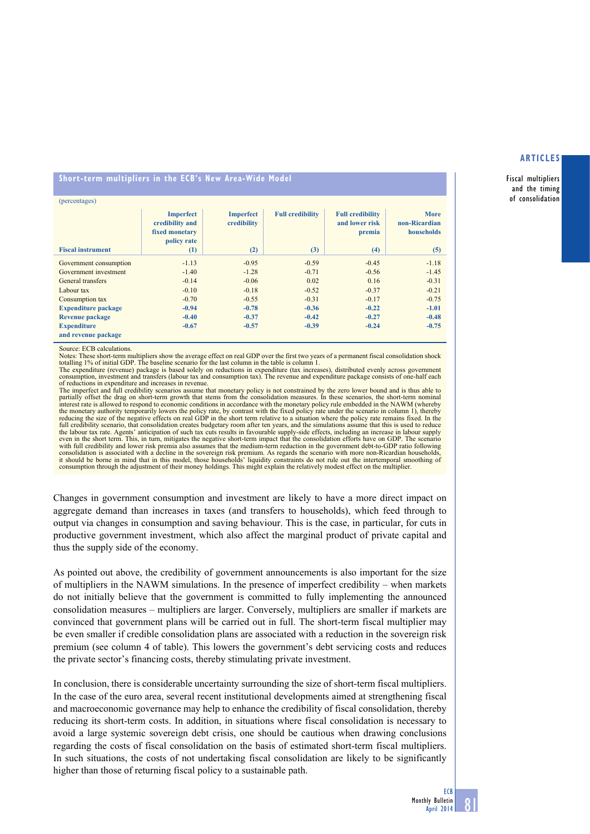Fiscal multipliers and the timing of consolidation

**short-term multipliers in the ecb's new Area-wide model**

| (percentages)              |                                                                      |                                 |                         |                                                     |                                            |
|----------------------------|----------------------------------------------------------------------|---------------------------------|-------------------------|-----------------------------------------------------|--------------------------------------------|
|                            | <b>Imperfect</b><br>credibility and<br>fixed monetary<br>policy rate | <b>Imperfect</b><br>credibility | <b>Full credibility</b> | <b>Full credibility</b><br>and lower risk<br>premia | <b>More</b><br>non-Ricardian<br>households |
| <b>Fiscal instrument</b>   | $\left(1\right)$                                                     | (2)                             | (3)                     | (4)                                                 | (5)                                        |
| Government consumption     | $-1.13$                                                              | $-0.95$                         | $-0.59$                 | $-0.45$                                             | $-1.18$                                    |
| Government investment      | $-1.40$                                                              | $-1.28$                         | $-0.71$                 | $-0.56$                                             | $-1.45$                                    |
| General transfers          | $-0.14$                                                              | $-0.06$                         | 0.02                    | 0.16                                                | $-0.31$                                    |
| Labour tax                 | $-0.10$                                                              | $-0.18$                         | $-0.52$                 | $-0.37$                                             | $-0.21$                                    |
| Consumption tax            | $-0.70$                                                              | $-0.55$                         | $-0.31$                 | $-0.17$                                             | $-0.75$                                    |
| <b>Expenditure package</b> | $-0.94$                                                              | $-0.78$                         | $-0.36$                 | $-0.22$                                             | $-1.01$                                    |
| Revenue package            | $-0.40$                                                              | $-0.37$                         | $-0.42$                 | $-0.27$                                             | $-0.48$                                    |
| <b>Expenditure</b>         | $-0.67$                                                              | $-0.57$                         | $-0.39$                 | $-0.24$                                             | $-0.75$                                    |
| and revenue package        |                                                                      |                                 |                         |                                                     |                                            |

Source: ECB calculations.

Notes: These short-term multipliers show the average effect on real GDP over the first two years of a permanent fiscal consolidation shock

totalling 1% of initial GDP. The baseline scenario for the last column in the table is column 1.<br>The expenditure (revenue) package is based solely on reductions in expenditure (tax increases), distributed evenly across gov of reductions in expenditure and increases in revenue.

The imperfect and full credibility scenarios assume that monetary policy is not constrained by the zero lower bound and is thus able to partially offset the drag on short-term prowth that stems from the consolidation measu interest rate is allowed to respond to economic conditions in accordance with the monetary policy rule embedded in the NAWM (whereby<br>the monetary authority temporarily lowers the policy rate, by contrast with the fixed pol full credibility scenario, that consolidation creates budgetary room after ten years, and the simulations assume that this is used to reduce the labour tax rate. Agents' anticipation of such tax cuts results in favourable supply-side effects, including an increase in labour supply<br>even in the short term. This, in turn, mitigates the negative short-term impact t with full credibility and lower risk premia also assumes that the medium-term reduction in the government debt-to-GDP ratio following<br>consolidation is associated with a decline in the sovereign risk premium. As regards the consumption through the adjustment of their money holdings. This might explain the relatively modest effect on the multiplier.

Changes in government consumption and investment are likely to have a more direct impact on aggregate demand than increases in taxes (and transfers to households), which feed through to output via changes in consumption and saving behaviour. This is the case, in particular, for cuts in productive government investment, which also affect the marginal product of private capital and thus the supply side of the economy.

As pointed out above, the credibility of government announcements is also important for the size of multipliers in the NAWM simulations. In the presence of imperfect credibility – when markets do not initially believe that the government is committed to fully implementing the announced consolidation measures – multipliers are larger. Conversely, multipliers are smaller if markets are convinced that government plans will be carried out in full. The short-term fiscal multiplier may be even smaller if credible consolidation plans are associated with a reduction in the sovereign risk premium (see column 4 of table). This lowers the government's debt servicing costs and reduces the private sector's financing costs, thereby stimulating private investment.

In conclusion, there is considerable uncertainty surrounding the size of short-term fiscal multipliers. In the case of the euro area, several recent institutional developments aimed at strengthening fiscal and macroeconomic governance may help to enhance the credibility of fiscal consolidation, thereby reducing its short-term costs. In addition, in situations where fiscal consolidation is necessary to avoid a large systemic sovereign debt crisis, one should be cautious when drawing conclusions regarding the costs of fiscal consolidation on the basis of estimated short-term fiscal multipliers. In such situations, the costs of not undertaking fiscal consolidation are likely to be significantly higher than those of returning fiscal policy to a sustainable path.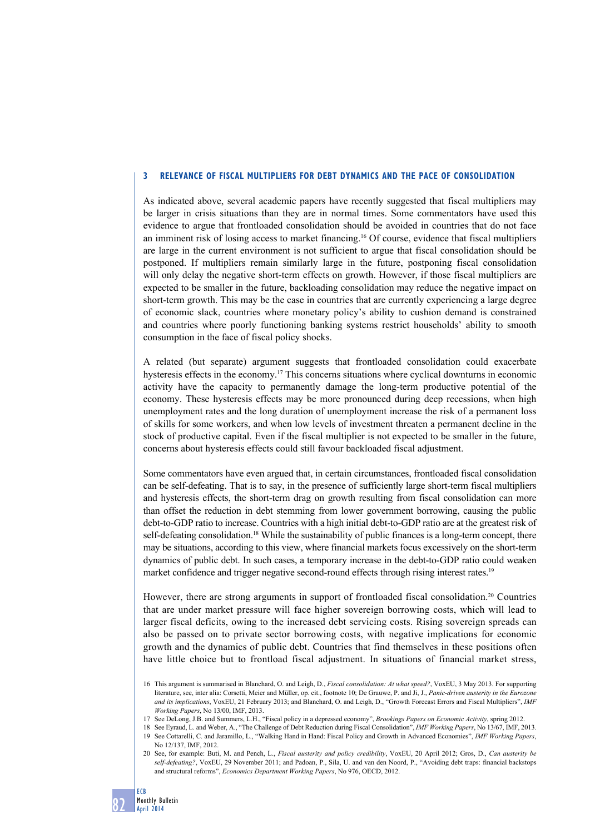# **3 relevance of fiscal multipliers for debt dynamics and the pace of consolidation**

As indicated above, several academic papers have recently suggested that fiscal multipliers may be larger in crisis situations than they are in normal times. Some commentators have used this evidence to argue that frontloaded consolidation should be avoided in countries that do not face an imminent risk of losing access to market financing.16 Of course, evidence that fiscal multipliers are large in the current environment is not sufficient to argue that fiscal consolidation should be postponed. If multipliers remain similarly large in the future, postponing fiscal consolidation will only delay the negative short-term effects on growth. However, if those fiscal multipliers are expected to be smaller in the future, backloading consolidation may reduce the negative impact on short-term growth. This may be the case in countries that are currently experiencing a large degree of economic slack, countries where monetary policy's ability to cushion demand is constrained and countries where poorly functioning banking systems restrict households' ability to smooth consumption in the face of fiscal policy shocks.

A related (but separate) argument suggests that frontloaded consolidation could exacerbate hysteresis effects in the economy.<sup>17</sup> This concerns situations where cyclical downturns in economic activity have the capacity to permanently damage the long-term productive potential of the economy. These hysteresis effects may be more pronounced during deep recessions, when high unemployment rates and the long duration of unemployment increase the risk of a permanent loss of skills for some workers, and when low levels of investment threaten a permanent decline in the stock of productive capital. Even if the fiscal multiplier is not expected to be smaller in the future, concerns about hysteresis effects could still favour backloaded fiscal adjustment.

Some commentators have even argued that, in certain circumstances, frontloaded fiscal consolidation can be self-defeating. That is to say, in the presence of sufficiently large short-term fiscal multipliers and hysteresis effects, the short-term drag on growth resulting from fiscal consolidation can more than offset the reduction in debt stemming from lower government borrowing, causing the public debt-to-GDP ratio to increase. Countries with a high initial debt-to-GDP ratio are at the greatest risk of self-defeating consolidation.<sup>18</sup> While the sustainability of public finances is a long-term concept, there may be situations, according to this view, where financial markets focus excessively on the short-term dynamics of public debt. In such cases, a temporary increase in the debt-to-GDP ratio could weaken market confidence and trigger negative second-round effects through rising interest rates.19

However, there are strong arguments in support of frontloaded fiscal consolidation.20 Countries that are under market pressure will face higher sovereign borrowing costs, which will lead to larger fiscal deficits, owing to the increased debt servicing costs. Rising sovereign spreads can also be passed on to private sector borrowing costs, with negative implications for economic growth and the dynamics of public debt. Countries that find themselves in these positions often have little choice but to frontload fiscal adjustment. In situations of financial market stress,

17 See DeLong, J.B. and Summers, L.H., "Fiscal policy in a depressed economy", *Brookings Papers on Economic Activity*, spring 2012.

ECB

<sup>16</sup> This argument is summarised in Blanchard, O. and Leigh, D., *Fiscal consolidation: At what speed?*, VoxEU, 3 May 2013. For supporting literature, see, inter alia: Corsetti, Meier and Müller, op. cit., footnote 10; De Grauwe, P. and Ji, J., *Panic-driven austerity in the Eurozone and its implications*, VoxEU, 21 February 2013; and Blanchard, O. and Leigh, D., "Growth Forecast Errors and Fiscal Multipliers", *IMF Working Papers*, No 13/00, IMF, 2013.

<sup>18</sup> See Eyraud, L. and Weber, A., "The Challenge of Debt Reduction during Fiscal Consolidation", *IMF Working Papers*, No 13/67, IMF, 2013. 19 See Cottarelli, C. and Jaramillo, L., "Walking Hand in Hand: Fiscal Policy and Growth in Advanced Economies", *IMF Working Papers*, No 12/137, IMF, 2012.

<sup>20</sup> See, for example: Buti, M. and Pench, L., *Fiscal austerity and policy credibility*, VoxEU, 20 April 2012; Gros, D., *Can austerity be self-defeating?*, VoxEU, 29 November 2011; and Padoan, P., Sila, U. and van den Noord, P., "Avoiding debt traps: financial backstops and structural reforms", *Economics Department Working Papers*, No 976, OECD, 2012.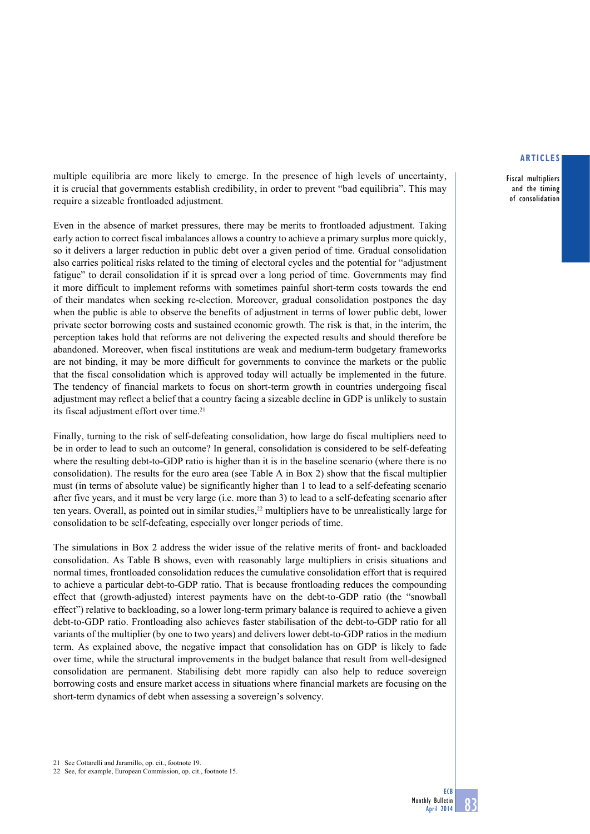Fiscal multipliers and the timing of consolidation

multiple equilibria are more likely to emerge. In the presence of high levels of uncertainty, it is crucial that governments establish credibility, in order to prevent "bad equilibria". This may require a sizeable frontloaded adjustment.

Even in the absence of market pressures, there may be merits to frontloaded adjustment. Taking early action to correct fiscal imbalances allows a country to achieve a primary surplus more quickly, so it delivers a larger reduction in public debt over a given period of time. Gradual consolidation also carries political risks related to the timing of electoral cycles and the potential for "adjustment fatigue" to derail consolidation if it is spread over a long period of time. Governments may find it more difficult to implement reforms with sometimes painful short-term costs towards the end of their mandates when seeking re-election. Moreover, gradual consolidation postpones the day when the public is able to observe the benefits of adjustment in terms of lower public debt, lower private sector borrowing costs and sustained economic growth. The risk is that, in the interim, the perception takes hold that reforms are not delivering the expected results and should therefore be abandoned. Moreover, when fiscal institutions are weak and medium-term budgetary frameworks are not binding, it may be more difficult for governments to convince the markets or the public that the fiscal consolidation which is approved today will actually be implemented in the future. The tendency of financial markets to focus on short-term growth in countries undergoing fiscal adjustment may reflect a belief that a country facing a sizeable decline in GDP is unlikely to sustain its fiscal adjustment effort over time.<sup>21</sup>

Finally, turning to the risk of self-defeating consolidation, how large do fiscal multipliers need to be in order to lead to such an outcome? In general, consolidation is considered to be self-defeating where the resulting debt-to-GDP ratio is higher than it is in the baseline scenario (where there is no consolidation). The results for the euro area (see Table A in Box 2) show that the fiscal multiplier must (in terms of absolute value) be significantly higher than 1 to lead to a self-defeating scenario after five years, and it must be very large (i.e. more than 3) to lead to a self-defeating scenario after ten years. Overall, as pointed out in similar studies,<sup>22</sup> multipliers have to be unrealistically large for consolidation to be self-defeating, especially over longer periods of time.

The simulations in Box 2 address the wider issue of the relative merits of front- and backloaded consolidation. As Table B shows, even with reasonably large multipliers in crisis situations and normal times, frontloaded consolidation reduces the cumulative consolidation effort that is required to achieve a particular debt-to-GDP ratio. That is because frontloading reduces the compounding effect that (growth-adjusted) interest payments have on the debt-to-GDP ratio (the "snowball effect") relative to backloading, so a lower long-term primary balance is required to achieve a given debt-to-GDP ratio. Frontloading also achieves faster stabilisation of the debt-to-GDP ratio for all variants of the multiplier (by one to two years) and delivers lower debt-to-GDP ratios in the medium term. As explained above, the negative impact that consolidation has on GDP is likely to fade over time, while the structural improvements in the budget balance that result from well-designed consolidation are permanent. Stabilising debt more rapidly can also help to reduce sovereign borrowing costs and ensure market access in situations where financial markets are focusing on the short-term dynamics of debt when assessing a sovereign's solvency.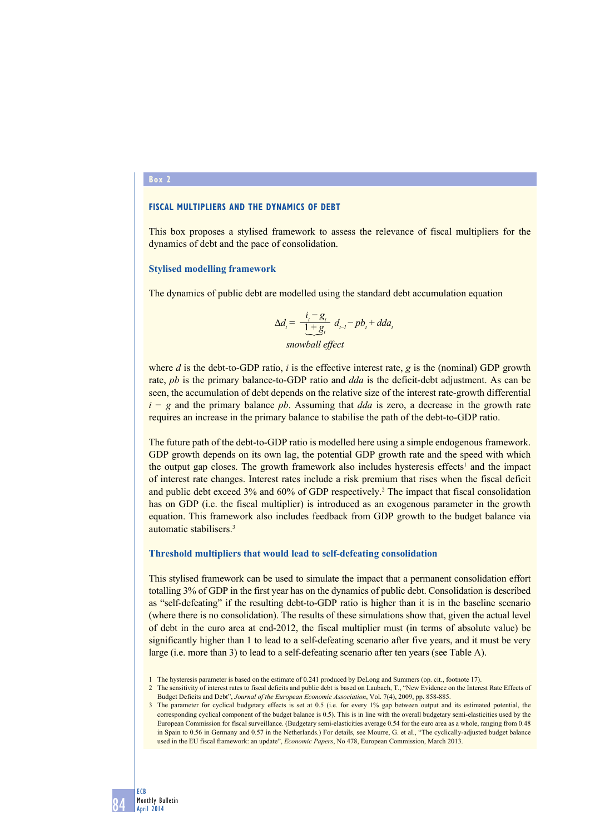### **Box 2**

# **FISCAL MULTIPLIERS AND THE DYNAMICS OF DEBT**

This box proposes a stylised framework to assess the relevance of fiscal multipliers for the dynamics of debt and the pace of consolidation.

#### **Stylised modelling framework**

The dynamics of public debt are modelled using the standard debt accumulation equation

$$
\Delta d_i = \underbrace{\frac{i_i - g_i}{1 + g_i}}_{\text{smoothall effect}} d_{i-l} - pb_i + dda_i
$$

where *d* is the debt-to-GDP ratio, *i* is the effective interest rate, *g* is the (nominal) GDP growth rate, *pb* is the primary balance-to-GDP ratio and *dda* is the deficit-debt adjustment. As can be seen, the accumulation of debt depends on the relative size of the interest rate-growth differential *i − g* and the primary balance *pb*. Assuming that *dda* is zero, a decrease in the growth rate requires an increase in the primary balance to stabilise the path of the debt-to-GDP ratio.

The future path of the debt-to-GDP ratio is modelled here using a simple endogenous framework. GDP growth depends on its own lag, the potential GDP growth rate and the speed with which the output gap closes. The growth framework also includes hysteresis effects<sup>1</sup> and the impact of interest rate changes. Interest rates include a risk premium that rises when the fiscal deficit and public debt exceed  $3\%$  and  $60\%$  of GDP respectively.<sup>2</sup> The impact that fiscal consolidation has on GDP (i.e. the fiscal multiplier) is introduced as an exogenous parameter in the growth equation. This framework also includes feedback from GDP growth to the budget balance via automatic stabilisers<sup>3</sup>

## **Threshold multipliers that would lead to self-defeating consolidation**

This stylised framework can be used to simulate the impact that a permanent consolidation effort totalling 3% of GDP in the first year has on the dynamics of public debt. Consolidation is described as "self-defeating" if the resulting debt-to-GDP ratio is higher than it is in the baseline scenario (where there is no consolidation). The results of these simulations show that, given the actual level of debt in the euro area at end-2012, the fiscal multiplier must (in terms of absolute value) be significantly higher than 1 to lead to a self-defeating scenario after five years, and it must be very large (i.e. more than 3) to lead to a self-defeating scenario after ten years (see Table A).

<sup>1</sup> The hysteresis parameter is based on the estimate of 0.241 produced by DeLong and Summers (op. cit., footnote 17).

<sup>2</sup> The sensitivity of interest rates to fiscal deficits and public debt is based on Laubach, T., "New Evidence on the Interest Rate Effects of Budget Deficits and Debt", *Journal of the European Economic Association*, Vol. 7(4), 2009, pp. 858-885.

<sup>3</sup> The parameter for cyclical budgetary effects is set at 0.5 (i.e. for every 1% gap between output and its estimated potential, the corresponding cyclical component of the budget balance is 0.5). This is in line with the overall budgetary semi-elasticities used by the European Commission for fiscal surveillance. (Budgetary semi-elasticities average 0.54 for the euro area as a whole, ranging from 0.48 in Spain to 0.56 in Germany and 0.57 in the Netherlands.) For details, see Mourre, G. et al., "The cyclically-adjusted budget balance used in the EU fiscal framework: an update", *Economic Papers*, No 478, European Commission, March 2013.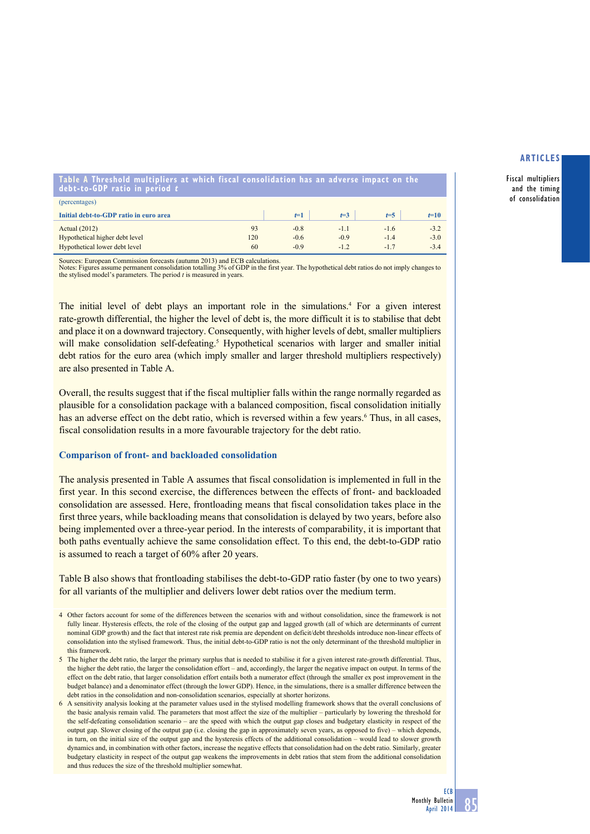Fiscal multipliers and the timing of consolidation

**table A threshold multipliers at which fiscal consolidation has an adverse impact on the debt-to-Gdp ratio in period t**

| (percentages)                          |     |        |        |         |        |
|----------------------------------------|-----|--------|--------|---------|--------|
| Initial debt-to-GDP ratio in euro area |     | $f=1$  | $t=3$  | $t = 5$ | $t=10$ |
| Actual $(2012)$                        | 93  | $-0.8$ | $-1.1$ | $-1.6$  | $-3.2$ |
| Hypothetical higher debt level         | 120 | $-0.6$ | $-0.9$ | $-1.4$  | $-3.0$ |
| Hypothetical lower debt level          | 60  | $-0.9$ | $-12$  | $-1.7$  | $-3.4$ |

Sources: European Commission forecasts (autumn 2013) and ECB calculations.

Notes: Figures assume permanent consolidation totalling 3% of GDP in the first year. The hypothetical debt ratios do not imply changes to the stylised model's parameters. The period *t* is measured in years.

The initial level of debt plays an important role in the simulations.<sup>4</sup> For a given interest rate-growth differential, the higher the level of debt is, the more difficult it is to stabilise that debt and place it on a downward trajectory. Consequently, with higher levels of debt, smaller multipliers will make consolidation self-defeating.<sup>5</sup> Hypothetical scenarios with larger and smaller initial debt ratios for the euro area (which imply smaller and larger threshold multipliers respectively) are also presented in Table A.

Overall, the results suggest that if the fiscal multiplier falls within the range normally regarded as plausible for a consolidation package with a balanced composition, fiscal consolidation initially has an adverse effect on the debt ratio, which is reversed within a few years.<sup>6</sup> Thus, in all cases, fiscal consolidation results in a more favourable trajectory for the debt ratio.

# **Comparison of front- and backloaded consolidation**

The analysis presented in Table A assumes that fiscal consolidation is implemented in full in the first year. In this second exercise, the differences between the effects of front- and backloaded consolidation are assessed. Here, frontloading means that fiscal consolidation takes place in the first three years, while backloading means that consolidation is delayed by two years, before also being implemented over a three-year period. In the interests of comparability, it is important that both paths eventually achieve the same consolidation effect. To this end, the debt-to-GDP ratio is assumed to reach a target of 60% after 20 years.

Table B also shows that frontloading stabilises the debt-to-GDP ratio faster (by one to two years) for all variants of the multiplier and delivers lower debt ratios over the medium term.

- 4 Other factors account for some of the differences between the scenarios with and without consolidation, since the framework is not fully linear. Hysteresis effects, the role of the closing of the output gap and lagged growth (all of which are determinants of current nominal GDP growth) and the fact that interest rate risk premia are dependent on deficit/debt thresholds introduce non-linear effects of consolidation into the stylised framework. Thus, the initial debt-to-GDP ratio is not the only determinant of the threshold multiplier in this framework.
- 5 The higher the debt ratio, the larger the primary surplus that is needed to stabilise it for a given interest rate-growth differential. Thus, the higher the debt ratio, the larger the consolidation effort – and, accordingly, the larger the negative impact on output. In terms of the effect on the debt ratio, that larger consolidation effort entails both a numerator effect (through the smaller ex post improvement in the budget balance) and a denominator effect (through the lower GDP). Hence, in the simulations, there is a smaller difference between the debt ratios in the consolidation and non-consolidation scenarios, especially at shorter horizons.
- 6 A sensitivity analysis looking at the parameter values used in the stylised modelling framework shows that the overall conclusions of the basic analysis remain valid. The parameters that most affect the size of the multiplier – particularly by lowering the threshold for the self-defeating consolidation scenario – are the speed with which the output gap closes and budgetary elasticity in respect of the output gap. Slower closing of the output gap (i.e. closing the gap in approximately seven years, as opposed to five) – which depends, in turn, on the initial size of the output gap and the hysteresis effects of the additional consolidation – would lead to slower growth dynamics and, in combination with other factors, increase the negative effects that consolidation had on the debt ratio. Similarly, greater budgetary elasticity in respect of the output gap weakens the improvements in debt ratios that stem from the additional consolidation and thus reduces the size of the threshold multiplier somewhat.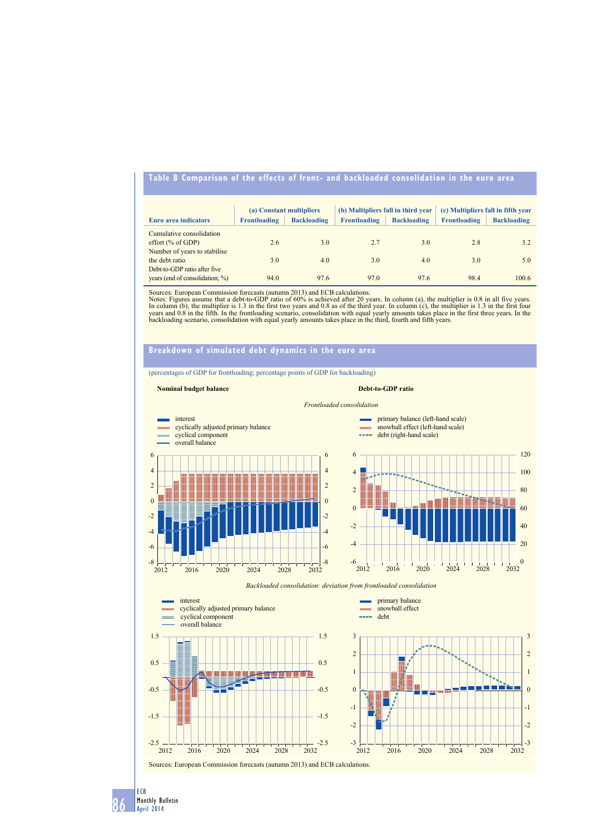# **table b comparison of the effects of front- and backloaded consolidation in the euro area**

|                                                                                  |              | (a) Constant multipliers |                     | (b) Multipliers fall in third year | (c) Multipliers fall in fifth year |                    |  |
|----------------------------------------------------------------------------------|--------------|--------------------------|---------------------|------------------------------------|------------------------------------|--------------------|--|
| <b>Euro area indicators</b>                                                      | Frontloading | <b>Backloading</b>       | <b>Frontloading</b> | <b>Backloading</b>                 | Frontloading                       | <b>Backloading</b> |  |
| Cumulative consolidation<br>effort $(\%$ of GDP)<br>Number of years to stabilise | 2.6          | 3.0                      | 2.7                 | 3.0                                | 2.8                                | 3.2                |  |
| the debt ratio<br>Debt-to-GDP ratio after five                                   | 3.0          | 4.0                      | 3.0                 | 4.0                                | 3.0                                | 5.0                |  |
| years (end of consolidation; %)                                                  | 94.0         | 97.6                     | 97.0                | 97.6                               | 98.4                               | 100.6              |  |

Sources: European Commission forecasts (autumn 2013) and ECB calculations.<br>Notes: Figures assume that a debt-to-GDP ratio of 60% is achieved after 20 years. In column (a), the multiplier is 0.8 in all five years.<br>In column years and 0.8 in the fifth. In the frontloading scenario, consolidation with equal yearly amounts takes place in the first three years. In the backloading scenario, consolidation with equal yearly amounts takes place in th

# **breakdown of simulated debt dynamics in the euro area**

(percentages of GDP for frontloading; percentage points of GDP for backloading)

#### **Nominal budget balance Debt-to-GDP ratio**



Sources: European Commission forecasts (autumn 2013) and ECB calculations.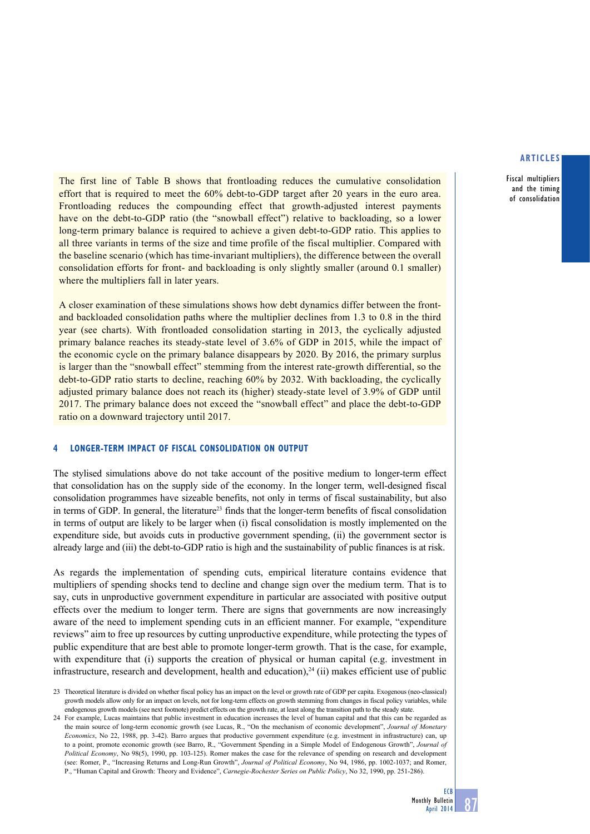Fiscal multipliers and the timing of consolidation

The first line of Table B shows that frontloading reduces the cumulative consolidation effort that is required to meet the 60% debt-to-GDP target after 20 years in the euro area. Frontloading reduces the compounding effect that growth-adjusted interest payments have on the debt-to-GDP ratio (the "snowball effect") relative to backloading, so a lower long-term primary balance is required to achieve a given debt-to-GDP ratio. This applies to all three variants in terms of the size and time profile of the fiscal multiplier. Compared with the baseline scenario (which has time-invariant multipliers), the difference between the overall consolidation efforts for front- and backloading is only slightly smaller (around 0.1 smaller) where the multipliers fall in later years.

A closer examination of these simulations shows how debt dynamics differ between the frontand backloaded consolidation paths where the multiplier declines from 1.3 to 0.8 in the third year (see charts). With frontloaded consolidation starting in 2013, the cyclically adjusted primary balance reaches its steady-state level of 3.6% of GDP in 2015, while the impact of the economic cycle on the primary balance disappears by 2020. By 2016, the primary surplus is larger than the "snowball effect" stemming from the interest rate-growth differential, so the debt-to-GDP ratio starts to decline, reaching 60% by 2032. With backloading, the cyclically adjusted primary balance does not reach its (higher) steady-state level of 3.9% of GDP until 2017. The primary balance does not exceed the "snowball effect" and place the debt-to-GDP ratio on a downward trajectory until 2017.

# **4 Longer-term impact of fiscal consolidation on output**

The stylised simulations above do not take account of the positive medium to longer-term effect that consolidation has on the supply side of the economy. In the longer term, well-designed fiscal consolidation programmes have sizeable benefits, not only in terms of fiscal sustainability, but also in terms of GDP. In general, the literature<sup>23</sup> finds that the longer-term benefits of fiscal consolidation in terms of output are likely to be larger when (i) fiscal consolidation is mostly implemented on the expenditure side, but avoids cuts in productive government spending, (ii) the government sector is already large and (iii) the debt-to-GDP ratio is high and the sustainability of public finances is at risk.

As regards the implementation of spending cuts, empirical literature contains evidence that multipliers of spending shocks tend to decline and change sign over the medium term. That is to say, cuts in unproductive government expenditure in particular are associated with positive output effects over the medium to longer term. There are signs that governments are now increasingly aware of the need to implement spending cuts in an efficient manner. For example, "expenditure reviews" aim to free up resources by cutting unproductive expenditure, while protecting the types of public expenditure that are best able to promote longer-term growth. That is the case, for example, with expenditure that (i) supports the creation of physical or human capital (e.g. investment in infrastructure, research and development, health and education), $^{24}$  (ii) makes efficient use of public

<sup>23</sup> Theoretical literature is divided on whether fiscal policy has an impact on the level or growth rate of GDP per capita. Exogenous (neo-classical) growth models allow only for an impact on levels, not for long-term effects on growth stemming from changes in fiscal policy variables, while endogenous growth models (see next footnote) predict effects on the growth rate, at least along the transition path to the steady state.

<sup>24</sup> For example, Lucas maintains that public investment in education increases the level of human capital and that this can be regarded as the main source of long-term economic growth (see Lucas, R., "On the mechanism of economic development", *Journal of Monetary Economics*, No 22, 1988, pp. 3-42). Barro argues that productive government expenditure (e.g. investment in infrastructure) can, up to a point, promote economic growth (see Barro, R., "Government Spending in a Simple Model of Endogenous Growth", *Journal of Political Economy*, No 98(5), 1990, pp. 103-125). Romer makes the case for the relevance of spending on research and development (see: Romer, P., "Increasing Returns and Long-Run Growth", *Journal of Political Economy*, No 94, 1986, pp. 1002-1037; and Romer, P., "Human Capital and Growth: Theory and Evidence", *Carnegie-Rochester Series on Public Policy*, No 32, 1990, pp. 251-286).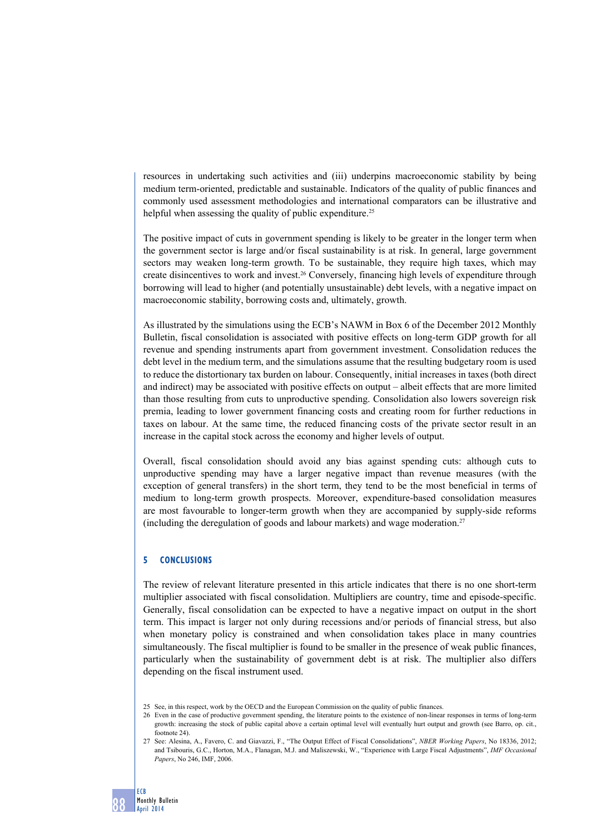resources in undertaking such activities and (iii) underpins macroeconomic stability by being medium term-oriented, predictable and sustainable. Indicators of the quality of public finances and commonly used assessment methodologies and international comparators can be illustrative and helpful when assessing the quality of public expenditure.<sup>25</sup>

The positive impact of cuts in government spending is likely to be greater in the longer term when the government sector is large and/or fiscal sustainability is at risk. In general, large government sectors may weaken long-term growth. To be sustainable, they require high taxes, which may create disincentives to work and invest.<sup>26</sup> Conversely, financing high levels of expenditure through borrowing will lead to higher (and potentially unsustainable) debt levels, with a negative impact on macroeconomic stability, borrowing costs and, ultimately, growth.

As illustrated by the simulations using the ECB's NAWM in Box 6 of the December 2012 Monthly Bulletin, fiscal consolidation is associated with positive effects on long-term GDP growth for all revenue and spending instruments apart from government investment. Consolidation reduces the debt level in the medium term, and the simulations assume that the resulting budgetary room is used to reduce the distortionary tax burden on labour. Consequently, initial increases in taxes (both direct and indirect) may be associated with positive effects on output – albeit effects that are more limited than those resulting from cuts to unproductive spending. Consolidation also lowers sovereign risk premia, leading to lower government financing costs and creating room for further reductions in taxes on labour. At the same time, the reduced financing costs of the private sector result in an increase in the capital stock across the economy and higher levels of output.

Overall, fiscal consolidation should avoid any bias against spending cuts: although cuts to unproductive spending may have a larger negative impact than revenue measures (with the exception of general transfers) in the short term, they tend to be the most beneficial in terms of medium to long-term growth prospects. Moreover, expenditure-based consolidation measures are most favourable to longer-term growth when they are accompanied by supply-side reforms (including the deregulation of goods and labour markets) and wage moderation.27

# **5 conclusions**

The review of relevant literature presented in this article indicates that there is no one short-term multiplier associated with fiscal consolidation. Multipliers are country, time and episode-specific. Generally, fiscal consolidation can be expected to have a negative impact on output in the short term. This impact is larger not only during recessions and/or periods of financial stress, but also when monetary policy is constrained and when consolidation takes place in many countries simultaneously. The fiscal multiplier is found to be smaller in the presence of weak public finances, particularly when the sustainability of government debt is at risk. The multiplier also differs depending on the fiscal instrument used.

<sup>25</sup> See, in this respect, work by the OECD and the European Commission on the quality of public finances.

<sup>26</sup> Even in the case of productive government spending, the literature points to the existence of non-linear responses in terms of long-term growth: increasing the stock of public capital above a certain optimal level will eventually hurt output and growth (see Barro, op. cit., footnote 24).

<sup>27</sup> See: Alesina, A., Favero, C. and Giavazzi, F., "The Output Effect of Fiscal Consolidations", *NBER Working Papers*, No 18336, 2012; and Tsibouris, G.C., Horton, M.A., Flanagan, M.J. and Maliszewski, W., "Experience with Large Fiscal Adjustments", *IMF Occasional Papers*, No 246, IMF, 2006.